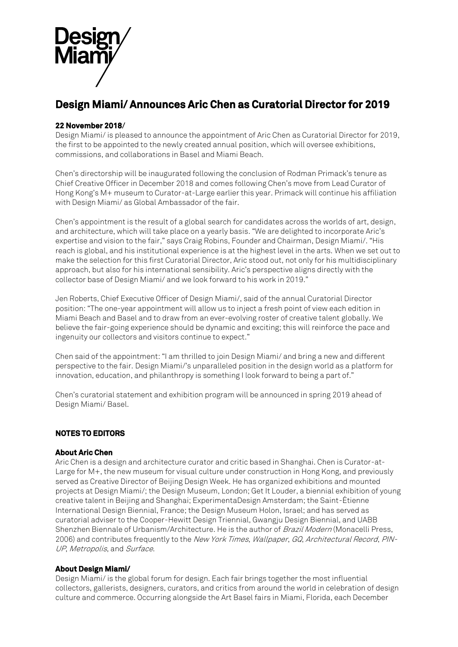

# **Design Miami/ Announces Aric Chen as Curatorial Director for 2019**

### **22 November 2018**/

Design Miami/ is pleased to announce the appointment of Aric Chen as Curatorial Director for 2019, the first to be appointed to the newly created annual position, which will oversee exhibitions, commissions, and collaborations in Basel and Miami Beach.

Chen's directorship will be inaugurated following the conclusion of Rodman Primack's tenure as Chief Creative Officer in December 2018 and comes following Chen's move from Lead Curator of Hong Kong's M+ museum to Curator-at-Large earlier this year. Primack will continue his affiliation with Design Miami/ as Global Ambassador of the fair.

Chen's appointment is the result of a global search for candidates across the worlds of art, design, and architecture, which will take place on a yearly basis. "We are delighted to incorporate Aric's expertise and vision to the fair," says Craig Robins, Founder and Chairman, Design Miami/. "His reach is global, and his institutional experience is at the highest level in the arts. When we set out to make the selection for this first Curatorial Director, Aric stood out, not only for his multidisciplinary approach, but also for his international sensibility. Aric's perspective aligns directly with the collector base of Design Miami/ and we look forward to his work in 2019."

Jen Roberts, Chief Executive Officer of Design Miami/, said of the annual Curatorial Director position: "The one-year appointment will allow us to inject a fresh point of view each edition in Miami Beach and Basel and to draw from an ever-evolving roster of creative talent globally. We believe the fair-going experience should be dynamic and exciting; this will reinforce the pace and ingenuity our collectors and visitors continue to expect."

Chen said of the appointment: "I am thrilled to join Design Miami/ and bring a new and different perspective to the fair. Design Miami/'s unparalleled position in the design world as a platform for innovation, education, and philanthropy is something I look forward to being a part of."

Chen's curatorial statement and exhibition program will be announced in spring 2019 ahead of Design Miami/ Basel.

## **NOTES TO EDITORS**

#### **About Aric Chen**

Aric Chen is a design and architecture curator and critic based in Shanghai. Chen is Curator-at-Large for M+, the new museum for visual culture under construction in Hong Kong, and previously served as Creative Director of Beijing Design Week. He has organized exhibitions and mounted projects at Design Miami/; the Design Museum, London; Get It Louder, a biennial exhibition of young creative talent in Beijing and Shanghai; ExperimentaDesign Amsterdam; the Saint-Étienne International Design Biennial, France; the Design Museum Holon, Israel; and has served as curatorial adviser to the Cooper-Hewitt Design Triennial, Gwangju Design Biennial, and UABB Shenzhen Biennale of Urbanism/Architecture. He is the author of Brazil Modern (Monacelli Press, 2006) and contributes frequently to the New York Times, Wallpaper, GQ, Architectural Record, PIN-UP, Metropolis, and Surface.

#### **About Design Miami/**

Design Miami/ is the global forum for design. Each fair brings together the most influential collectors, gallerists, designers, curators, and critics from around the world in celebration of design culture and commerce. Occurring alongside the Art Basel fairs in Miami, Florida, each December